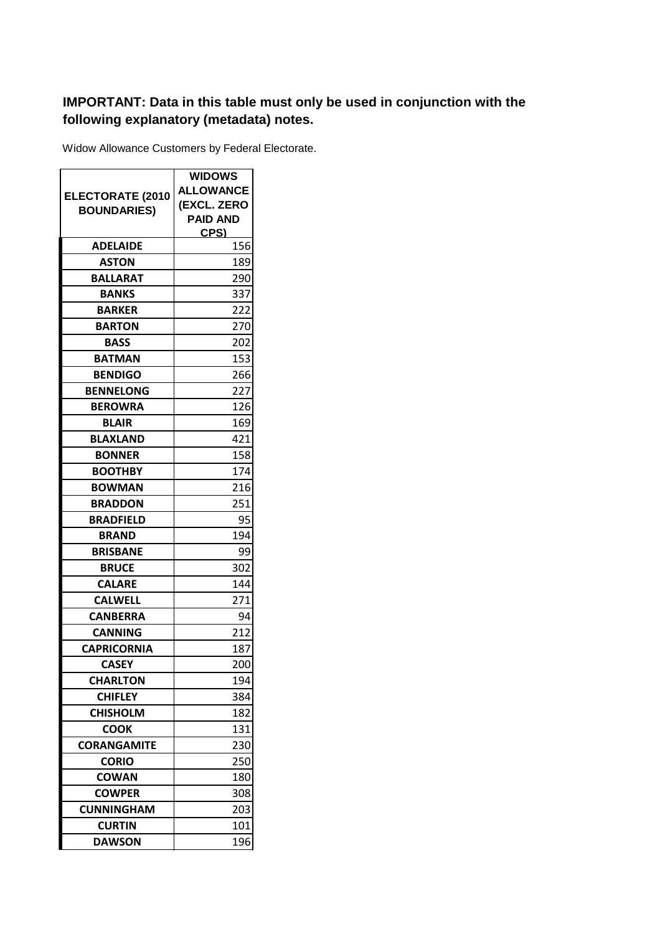## **IMPORTANT: Data in this table must only be used in conjunction with the following explanatory (metadata) notes.**

Widow Allowance Customers by Federal Electorate.

|                         | <b>WIDOWS</b>    |
|-------------------------|------------------|
| <b>ELECTORATE (2010</b> | <b>ALLOWANCE</b> |
| <b>BOUNDARIES)</b>      | (EXCL. ZERO      |
|                         | <b>PAID AND</b>  |
| <b>ADELAIDE</b>         | CPS)<br>156      |
| <b>ASTON</b>            | 189              |
| BALLARAT                | 290              |
| <b>BANKS</b>            | 337              |
| <b>BARKER</b>           | 222              |
| <b>BARTON</b>           | 270              |
| <b>BASS</b>             | 202              |
| <b>BATMAN</b>           | 153              |
| <b>BENDIGO</b>          | 266              |
| <b>BENNELONG</b>        | 227              |
| <b>BEROWRA</b>          | 126              |
| <b>BLAIR</b>            | 169              |
| <b>BLAXLAND</b>         | 421              |
| <b>BONNER</b>           | 158              |
| <b>BOOTHBY</b>          | 174              |
| <b>BOWMAN</b>           | 216              |
| <b>BRADDON</b>          | 251              |
| <b>BRADFIELD</b>        | 95               |
| <b>BRAND</b>            | 194              |
| <b>BRISBANE</b>         | 99               |
| <b>BRUCE</b>            | 302              |
| <b>CALARE</b>           | 144              |
| <b>CALWELL</b>          | 271              |
| <b>CANBERRA</b>         | 94               |
| CANNING                 | 212              |
| <b>CAPRICORNIA</b>      | 187              |
| <b>CASEY</b>            | 200              |
| <b>CHARLTON</b>         | 194              |
| <b>CHIFLEY</b>          | 384              |
| <b>CHISHOLM</b>         | 182              |
| <b>COOK</b>             | 131              |
| <b>CORANGAMITE</b>      | 230              |
| <b>CORIO</b>            | 250              |
| <b>COWAN</b>            | 180              |
| <b>COWPER</b>           | 308              |
| <b>CUNNINGHAM</b>       | 203              |
| <b>CURTIN</b>           | 101              |
| <b>DAWSON</b>           | 196              |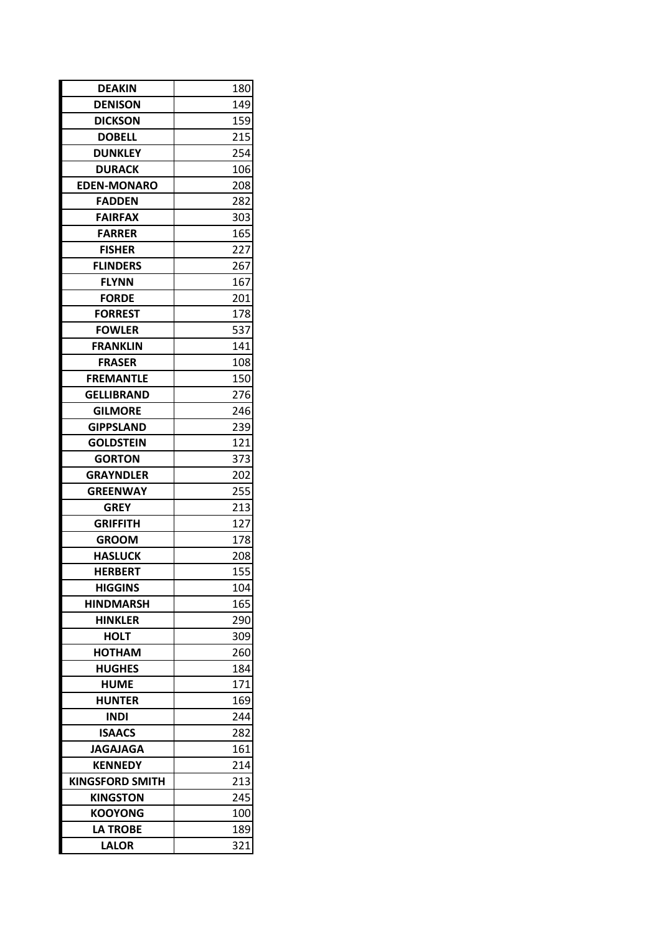| <b>DEAKIN</b>          | 180 |
|------------------------|-----|
| <b>DENISON</b>         | 149 |
| <b>DICKSON</b>         | 159 |
| <b>DOBELL</b>          | 215 |
| <b>DUNKLEY</b>         | 254 |
| <b>DURACK</b>          | 106 |
| <b>EDEN-MONARO</b>     | 208 |
| <b>FADDEN</b>          | 282 |
| <b>FAIRFAX</b>         | 303 |
| <b>FARRER</b>          | 165 |
| <b>FISHER</b>          | 227 |
| <b>FLINDERS</b>        | 267 |
| <b>FLYNN</b>           | 167 |
| <b>FORDE</b>           | 201 |
| <b>FORREST</b>         | 178 |
| <b>FOWLER</b>          | 537 |
| FRANKLIN               | 141 |
| <b>FRASER</b>          | 108 |
| <b>FREMANTLE</b>       | 150 |
| GELLIBRAND             | 276 |
| <b>GILMORE</b>         | 246 |
| <b>GIPPSLAND</b>       | 239 |
| <b>GOLDSTEIN</b>       | 121 |
| <b>GORTON</b>          | 373 |
| <b>GRAYNDLER</b>       | 202 |
| <b>GREENWAY</b>        | 255 |
| <b>GREY</b>            | 213 |
| GRIFFITH               | 127 |
| <b>GROOM</b>           | 178 |
| <b>HASLUCK</b>         | 208 |
| <b>HERBERT</b>         | 155 |
| <b>HIGGINS</b>         | 104 |
| <b>HINDMARSH</b>       | 165 |
| <b>HINKLER</b>         | 290 |
| HOLT                   | 309 |
| HOTHAM                 | 260 |
| <b>HUGHES</b>          | 184 |
| <b>HUME</b>            | 171 |
| <b>HUNTER</b>          | 169 |
| <b>INDI</b>            | 244 |
| <b>ISAACS</b>          | 282 |
| <b>JAGAJAGA</b>        | 161 |
| <b>KENNEDY</b>         | 214 |
| <b>KINGSFORD SMITH</b> | 213 |
| <b>KINGSTON</b>        | 245 |
| <b>KOOYONG</b>         | 100 |
| <b>LA TROBE</b>        | 189 |
| <b>LALOR</b>           | 321 |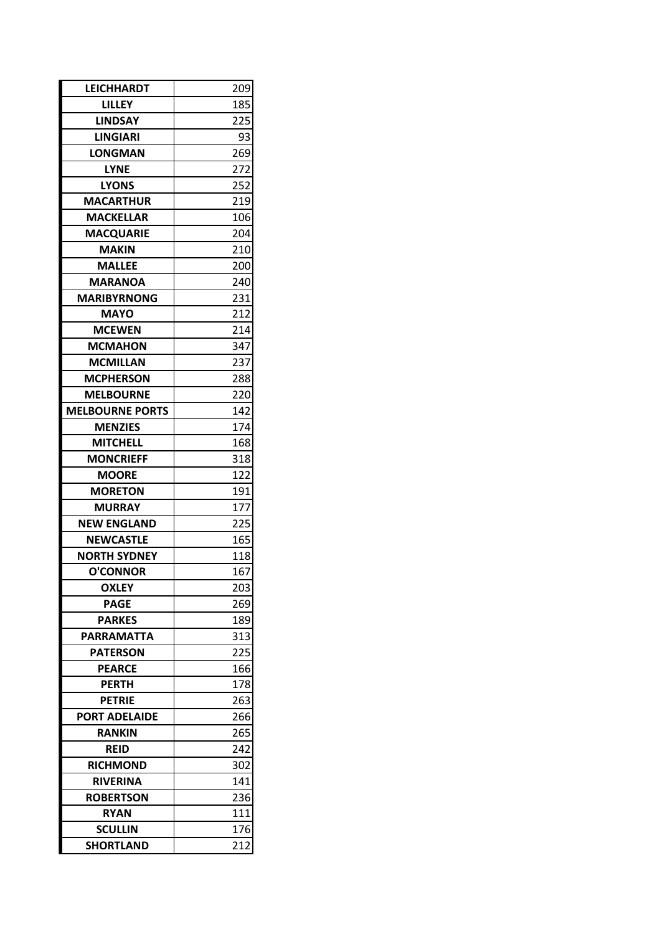| <b>LEICHHARDT</b>      | 209 |  |
|------------------------|-----|--|
| <b>LILLEY</b>          | 185 |  |
| <b>LINDSAY</b>         | 225 |  |
| <b>LINGIARI</b>        | 93  |  |
| <b>LONGMAN</b>         | 269 |  |
| <b>LYNE</b>            | 272 |  |
| <b>LYONS</b>           | 252 |  |
| <b>MACARTHUR</b>       | 219 |  |
| <b>MACKELLAR</b>       | 106 |  |
| <b>MACQUARIE</b>       | 204 |  |
| <b>MAKIN</b>           | 210 |  |
| <b>MALLEE</b>          | 200 |  |
| <b>MARANOA</b>         | 240 |  |
| <b>MARIBYRNONG</b>     | 231 |  |
| <b>MAYO</b>            | 212 |  |
| <b>MCEWEN</b>          | 214 |  |
| <b>MCMAHON</b>         | 347 |  |
| <b>MCMILLAN</b>        | 237 |  |
| <b>MCPHERSON</b>       | 288 |  |
| <b>MELBOURNE</b>       | 220 |  |
| <b>MELBOURNE PORTS</b> | 142 |  |
| <b>MENZIES</b>         | 174 |  |
| <b>MITCHELL</b>        | 168 |  |
| <b>MONCRIEFF</b>       | 318 |  |
| <b>MOORE</b>           | 122 |  |
| <b>MORETON</b>         | 191 |  |
| <b>MURRAY</b>          | 177 |  |
| <b>NEW ENGLAND</b>     | 225 |  |
| <b>NEWCASTLE</b>       | 165 |  |
| <b>NORTH SYDNEY</b>    | 118 |  |
| <b>O'CONNOR</b>        | 167 |  |
| <b>OXLEY</b>           | 203 |  |
| <b>PAGE</b>            | 269 |  |
| <b>PARKES</b>          | 189 |  |
| <b>PARRAMATTA</b>      | 313 |  |
| <b>PATERSON</b>        | 225 |  |
| <b>PEARCE</b>          | 166 |  |
| <b>PERTH</b>           | 178 |  |
| <b>PETRIE</b>          | 263 |  |
| <b>PORT ADELAIDE</b>   | 266 |  |
| <b>RANKIN</b>          | 265 |  |
| <b>REID</b>            | 242 |  |
| <b>RICHMOND</b>        | 302 |  |
| <b>RIVERINA</b>        | 141 |  |
| <b>ROBERTSON</b>       | 236 |  |
| <b>RYAN</b>            | 111 |  |
| <b>SCULLIN</b>         | 176 |  |
| <b>SHORTLAND</b>       | 212 |  |
|                        |     |  |